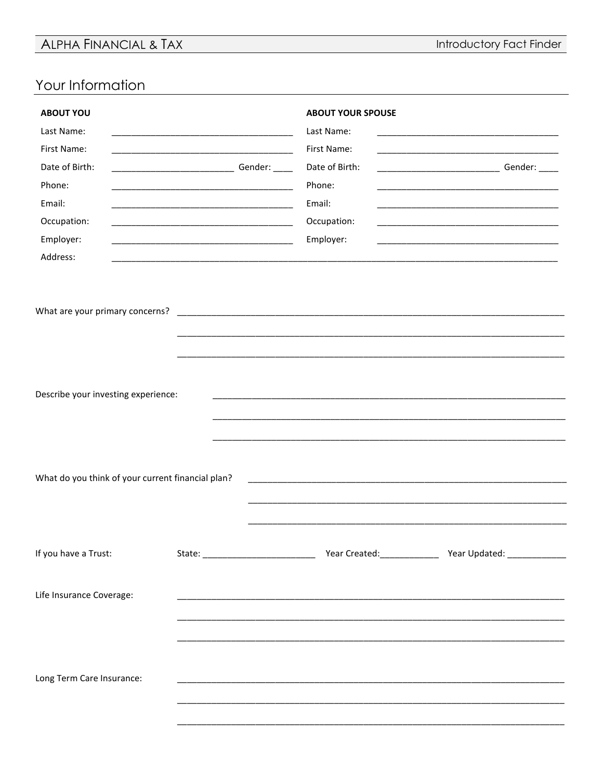## ALPHA FINANCIAL & TAX

Introductory Fact Finder

## Your Information

| <b>ABOUT YOU</b><br>Last Name:<br>First Name:<br>Date of Birth:<br>Phone:<br>Email:<br>Occupation:<br>Employer:<br>Address:                                               |  | <b>ABOUT YOUR SPOUSE</b><br>Last Name:<br>First Name:<br>Date of Birth:<br>Phone:<br>Email:<br>Occupation:<br>Employer: | <u> 1980 - Johann John Harry Harry Harry Harry Harry Harry Harry Harry Harry Harry Harry Harry Harry Harry Harry</u><br><u> 1989 - Johann Barbara, margaret eta idazlea (h. 1989).</u><br><u> 1989 - Johann Stein, mars an deutscher Stein und der Stein und der Stein und der Stein und der Stein und der</u> |  |  |  |
|---------------------------------------------------------------------------------------------------------------------------------------------------------------------------|--|-------------------------------------------------------------------------------------------------------------------------|----------------------------------------------------------------------------------------------------------------------------------------------------------------------------------------------------------------------------------------------------------------------------------------------------------------|--|--|--|
| What are your primary concerns?                                                                                                                                           |  |                                                                                                                         |                                                                                                                                                                                                                                                                                                                |  |  |  |
| Describe your investing experience:                                                                                                                                       |  |                                                                                                                         |                                                                                                                                                                                                                                                                                                                |  |  |  |
| What do you think of your current financial plan?<br><u> 1989 - Johann John Harry Harry Harry Harry Harry Harry Harry Harry Harry Harry Harry Harry Harry Harry Harry</u> |  |                                                                                                                         |                                                                                                                                                                                                                                                                                                                |  |  |  |
| If you have a Trust:                                                                                                                                                      |  |                                                                                                                         |                                                                                                                                                                                                                                                                                                                |  |  |  |
| Life Insurance Coverage:                                                                                                                                                  |  |                                                                                                                         |                                                                                                                                                                                                                                                                                                                |  |  |  |
| Long Term Care Insurance:                                                                                                                                                 |  |                                                                                                                         |                                                                                                                                                                                                                                                                                                                |  |  |  |